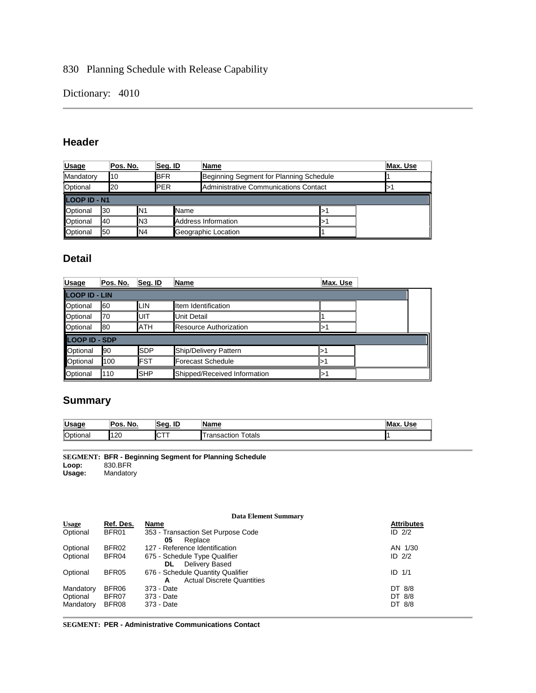830 Planning Schedule with Release Capability

Dictionary: 4010

## **Header**

| <b>Usage</b> | Pos. No. |                 | Seg. ID     | Name                                    | Max. Use |
|--------------|----------|-----------------|-------------|-----------------------------------------|----------|
| Mandatory    | 10       |                 | <b>IBFR</b> | Beginning Segment for Planning Schedule |          |
| Optional     | 20       |                 | <b>IPER</b> | Administrative Communications Contact   |          |
| LOOP ID - N1 |          |                 |             |                                         |          |
| Optional     | 130      | IN1             | Name        |                                         |          |
| Optional     | 40       | IN <sub>3</sub> |             | Address Information                     |          |
| Optional     | 50       | IN4             |             | Geographic Location                     |          |

## **Detail**

| <b>Usage</b>         | Pos. No. | Seg. ID    | Name                          | Max. Use |  |  |  |
|----------------------|----------|------------|-------------------------------|----------|--|--|--|
| <b>LOOP ID - LIN</b> |          |            |                               |          |  |  |  |
| Optional             | 60       | LIN        | <b>Iltem Identification</b>   |          |  |  |  |
| Optional             | 70       | IUIT       | Unit Detail                   |          |  |  |  |
| Optional             | 80       | <b>ATH</b> | <b>Resource Authorization</b> |          |  |  |  |
| <b>LOOP ID - SDP</b> |          |            |                               |          |  |  |  |
| Optional             | 190      | <b>SDP</b> | Ship/Delivery Pattern         | ⊳        |  |  |  |
| Optional             | 100      | <b>FST</b> | Forecast Schedule             |          |  |  |  |
| Optional             | 110      | <b>SHP</b> | Shipped/Received Information  |          |  |  |  |

# **Summary**

| <u>Usage</u> | Pos<br>No. | ID<br>مە | IName                | M٤<br>Use |
|--------------|------------|----------|----------------------|-----------|
| Optional     | 120        | ICT      | ⊺otals<br>ransaction |           |

**SEGMENT: BFR - Beginning Segment for Planning Schedule Loop:** 830.BFR

**Usage:** Mandatory

|              | <b>Data Element Summary</b> |                                        |                   |  |  |
|--------------|-----------------------------|----------------------------------------|-------------------|--|--|
| <b>Usage</b> | Ref. Des.                   | Name                                   | <b>Attributes</b> |  |  |
| Optional     | BFR01                       | 353 - Transaction Set Purpose Code     | ID $2/2$          |  |  |
|              |                             | Replace<br>05                          |                   |  |  |
| Optional     | BFR02                       | 127 - Reference Identification         | AN 1/30           |  |  |
| Optional     | BFR04                       | 675 - Schedule Type Qualifier          | ID $2/2$          |  |  |
|              |                             | Delivery Based<br>DL.                  |                   |  |  |
| Optional     | BFR05                       | 676 - Schedule Quantity Qualifier      | $ID$ $1/1$        |  |  |
|              |                             | <b>Actual Discrete Quantities</b><br>A |                   |  |  |
| Mandatory    | BFR06                       | 373 - Date                             | DT 8/8            |  |  |
| Optional     | BFR07                       | 373 - Date                             | DT 8/8            |  |  |
| Mandatory    | BFR08                       | 373 - Date                             | DT 8/8            |  |  |
|              |                             |                                        |                   |  |  |

**SEGMENT: PER - Administrative Communications Contact**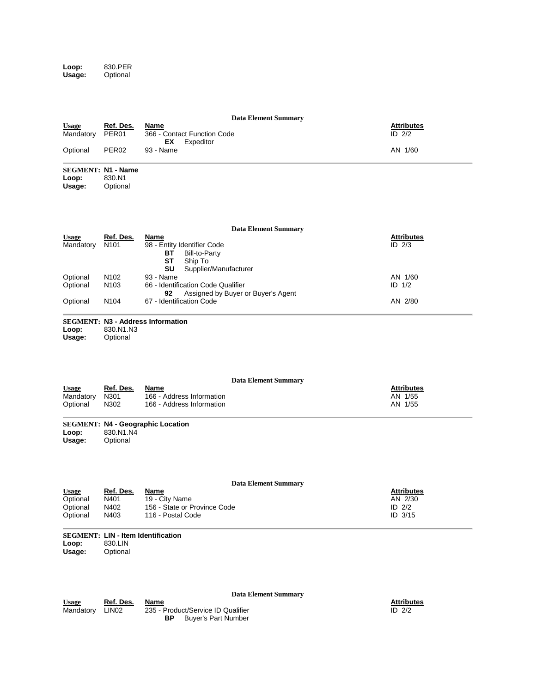**Loop:** 830.PER **Usage:** Optional

| <b>Usage</b><br>Mandatory<br>Optional            | Ref. Des.<br>PER <sub>01</sub><br>PER <sub>02</sub>              | <b>Data Element Summary</b><br>Name<br>366 - Contact Function Code<br><b>EX</b><br>Expeditor<br>93 - Name                                                                                                            | <b>Attributes</b><br>ID 2/2<br>AN 1/60            |
|--------------------------------------------------|------------------------------------------------------------------|----------------------------------------------------------------------------------------------------------------------------------------------------------------------------------------------------------------------|---------------------------------------------------|
| <b>SEGMENT: N1 - Name</b><br>Loop:<br>Usage:     | 830.N1<br>Optional                                               |                                                                                                                                                                                                                      |                                                   |
| <b>Usage</b><br>Mandatory                        | Ref. Des.<br>N <sub>101</sub>                                    | <b>Data Element Summary</b><br>Name<br>98 - Entity Identifier Code<br>ВT<br><b>Bill-to-Party</b><br><b>ST</b><br>Ship To                                                                                             | <b>Attributes</b><br>$ID$ $2/3$                   |
| Optional<br>Optional                             | N <sub>102</sub><br>N103                                         | SU<br>Supplier/Manufacturer<br>93 - Name<br>66 - Identification Code Qualifier<br>Assigned by Buyer or Buyer's Agent<br>92                                                                                           | AN 1/60<br>ID 1/2                                 |
| Optional                                         | N <sub>104</sub>                                                 | 67 - Identification Code                                                                                                                                                                                             | AN 2/80                                           |
| Loop:<br>Usage:                                  | 830.N1.N3<br>Optional                                            | <b>SEGMENT: N3 - Address Information</b>                                                                                                                                                                             |                                                   |
| <b>Usage</b><br>Mandatory<br>Optional            | Ref. Des.<br>N301<br>N302                                        | <b>Data Element Summary</b><br>Name<br>166 - Address Information<br>166 - Address Information                                                                                                                        | <b>Attributes</b><br>AN 1/55<br>AN 1/55           |
| Loop:<br>Usage:                                  | 830.N1.N4<br>Optional                                            | <b>SEGMENT: N4 - Geographic Location</b>                                                                                                                                                                             |                                                   |
| <b>Usage</b><br>Optional<br>Optional<br>Optional | <u>Ref. Des.</u><br>N401<br>N402<br>N403<br><b>CONTO LINE LO</b> | <b>Data Element Summary</b><br><u>Name</u><br>19 - City Name<br>156 - State or Province Code<br>116 - Postal Code<br>$\mathbf{A}$ and $\mathbf{A}$ are as $\mathbf{A}$ and $\mathbf{A}$ are as a set of $\mathbf{A}$ | <b>Attributes</b><br>AN 2/30<br>ID 2/2<br>ID 3/15 |

Attributes<br>ID 2/2

#### **SEGMENT: LIN - Item Identification Loop:** 830.LIN

**Usage:** Optional

|              |                   | Data Element Summary               |                   |
|--------------|-------------------|------------------------------------|-------------------|
| <b>Usage</b> | Ref. Des.         | Name                               | <b>Attributes</b> |
| Mandatory    | LIN <sub>02</sub> | 235 - Product/Service ID Qualifier | ID $2/2$          |
|              |                   | Buver's Part Number<br>ВP          |                   |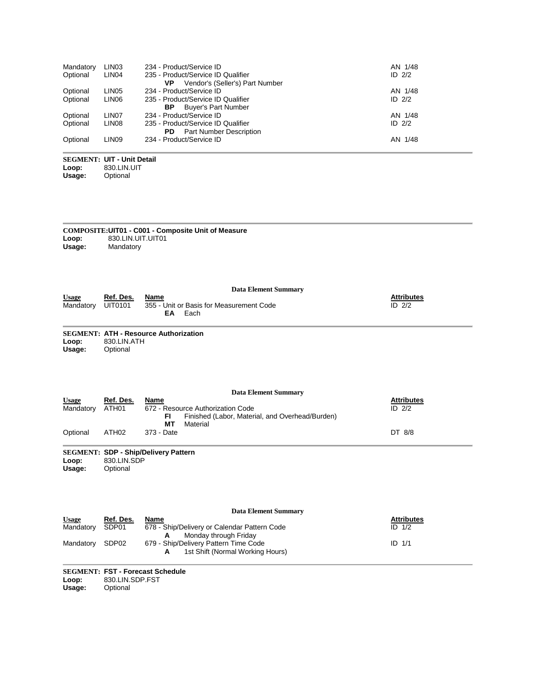| Mandatory | LIN <sub>03</sub> | 234 - Product/Service ID              | AN 1/48  |
|-----------|-------------------|---------------------------------------|----------|
| Optional  | LIN <sub>04</sub> | 235 - Product/Service ID Qualifier    | ID $2/2$ |
|           |                   | Vendor's (Seller's) Part Number<br>VP |          |
| Optional  | LIN <sub>05</sub> | 234 - Product/Service ID              | AN 1/48  |
| Optional  | LIN <sub>06</sub> | 235 - Product/Service ID Qualifier    | ID $2/2$ |
|           |                   | <b>Buyer's Part Number</b><br>ВP      |          |
| Optional  | LIN07             | 234 - Product/Service ID              | AN 1/48  |
| Optional  | LIN <sub>08</sub> | 235 - Product/Service ID Qualifier    | ID $2/2$ |
|           |                   | <b>Part Number Description</b><br>PD. |          |
| Optional  | LIN <sub>09</sub> | 234 - Product/Service ID              | AN 1/48  |
|           |                   |                                       |          |

#### **SEGMENT: UIT - Unit Detail Loop:** 830.LIN.UIT **Usage:** Optional

| <b>COMPOSITE: UIT01 - C001 - Composite Unit of Measure</b><br>830.LIN.UIT.UIT01<br>Loop:<br>Usage:<br>Mandatory |                             |                                                                                               |                               |  |  |  |
|-----------------------------------------------------------------------------------------------------------------|-----------------------------|-----------------------------------------------------------------------------------------------|-------------------------------|--|--|--|
| <b>Usage</b><br>Mandatory                                                                                       | Ref. Des.<br><b>UIT0101</b> | <b>Data Element Summary</b><br>Name<br>355 - Unit or Basis for Measurement Code<br>Each<br>EA | <b>Attributes</b><br>ID $2/2$ |  |  |  |
| Loop:                                                                                                           | 830.LIN.ATH                 | <b>SEGMENT: ATH - Resource Authorization</b>                                                  |                               |  |  |  |

Loop.<br>Usage: **Usage:** Optional

|                 |                                                                        |            | Data Element Summary                                                                 |                   |
|-----------------|------------------------------------------------------------------------|------------|--------------------------------------------------------------------------------------|-------------------|
| <b>Usage</b>    | Ref. Des.                                                              | Name       |                                                                                      | <b>Attributes</b> |
| Mandatory       | ATH <sub>01</sub>                                                      | FI         | 672 - Resource Authorization Code<br>Finished (Labor, Material, and Overhead/Burden) | ID $2/2$          |
|                 |                                                                        | МT         | Material                                                                             |                   |
| Optional        | ATH <sub>02</sub>                                                      | 373 - Date |                                                                                      | DT 8/8            |
| Loop:<br>Usage: | <b>SEGMENT: SDP - Ship/Delivery Pattern</b><br>830.LIN.SDP<br>Optional |            |                                                                                      |                   |

|              | Data Element Summary |                                                                           |                   |  |  |  |
|--------------|----------------------|---------------------------------------------------------------------------|-------------------|--|--|--|
| <b>Usage</b> | Ref. Des.            | Name                                                                      | <b>Attributes</b> |  |  |  |
| Mandatory    | SDP01                | 678 - Ship/Delivery or Calendar Pattern Code<br>Monday through Friday     | $ID$ $1/2$        |  |  |  |
| Mandatory    | SDP02                | 679 - Ship/Delivery Pattern Time Code<br>1st Shift (Normal Working Hours) | $ID$ $1/1$        |  |  |  |

#### **SEGMENT: FST - Forecast Schedule**

**Loop:** 830.LIN.SDP.FST

**Usage:** Optional